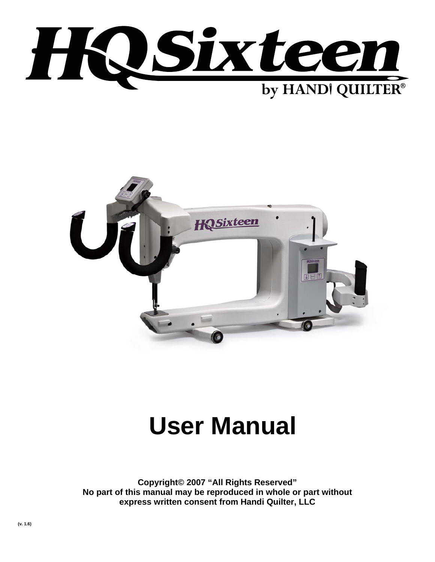



# **User Manual**

**Copyright© 2007 "All Rights Reserved" No part of this manual may be reproduced in whole or part without express written consent from Handi Quilter, LLC**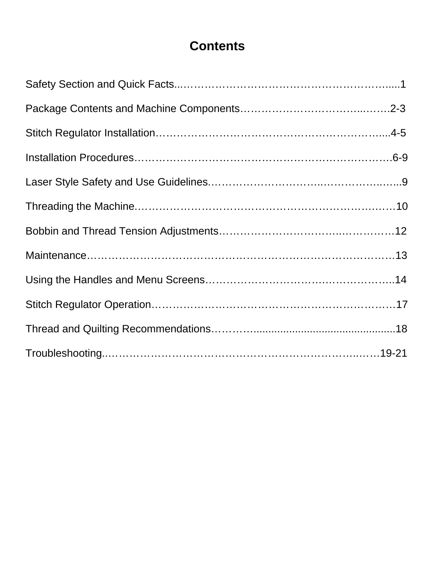# **Contents**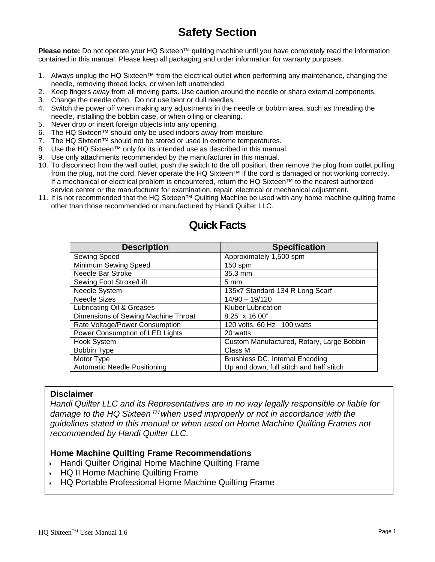# **Safety Section**

**Please note:** Do not operate your HQ Sixteen™ quilting machine until you have completely read the information contained in this manual. Please keep all packaging and order information for warranty purposes.

- 1. Always unplug the HQ Sixteen™ from the electrical outlet when performing any maintenance, changing the needle, removing thread locks, or when left unattended.
- 2. Keep fingers away from all moving parts. Use caution around the needle or sharp external components.
- 3. Change the needle often. Do not use bent or dull needles.
- 4. Switch the power off when making any adjustments in the needle or bobbin area, such as threading the needle, installing the bobbin case, or when oiling or cleaning.
- 5. Never drop or insert foreign objects into any opening.
- 6. The HQ Sixteen™ should only be used indoors away from moisture.
- 7. The HQ Sixteen™ should not be stored or used in extreme temperatures.
- 8. Use the HQ Sixteen™ only for its intended use as described in this manual.
- 9. Use only attachments recommended by the manufacturer in this manual.
- 10. To disconnect from the wall outlet, push the switch to the off position, then remove the plug from outlet pulling from the plug, not the cord. Never operate the HQ Sixteen™ if the cord is damaged or not working correctly. If a mechanical or electrical problem is encountered, return the HQ Sixteen™ to the nearest authorized service center or the manufacturer for examination, repair, electrical or mechanical adjustment.
- 11. It is not recommended that the HQ Sixteen™ Quilting Machine be used with any home machine quilting frame other than those recommended or manufactured by Handi Quilter LLC.

| <b>Description</b>                  | <b>Specification</b>                      |
|-------------------------------------|-------------------------------------------|
| Sewing Speed                        | Approximately 1,500 spm                   |
| Minimum Sewing Speed                | $150$ spm                                 |
| Needle Bar Stroke                   | 35.3 mm                                   |
| Sewing Foot Stroke/Lift             | $5 \text{ mm}$                            |
| Needle System                       | 135x7 Standard 134 R Long Scarf           |
| <b>Needle Sizes</b>                 | $14/90 - 19/120$                          |
| Lubricating Oil & Greases           | <b>Kluber Lubrication</b>                 |
| Dimensions of Sewing Machine Throat | 8.25" x 16.00"                            |
| Rate Voltage/Power Consumption      | 120 volts, 60 Hz 100 watts                |
| Power Consumption of LED Lights     | 20 watts                                  |
| Hook System                         | Custom Manufactured, Rotary, Large Bobbin |
| <b>Bobbin Type</b>                  | Class M                                   |
| Motor Type                          | Brushless DC, Internal Encoding           |
| <b>Automatic Needle Positioning</b> | Up and down, full stitch and half stitch  |

# **Quick Facts**

#### **Disclaimer**

*Handi Quilter LLC and its Representatives are in no way legally responsible or liable for damage to the HQ Sixteen*™ *when used improperly or not in accordance with the guidelines stated in this manual or when used on Home Machine Quilting Frames not recommended by Handi Quilter LLC.* 

#### **Home Machine Quilting Frame Recommendations**

- Handi Quilter Original Home Machine Quilting Frame
- ▶ HQ II Home Machine Quilting Frame
- HQ Portable Professional Home Machine Quilting Frame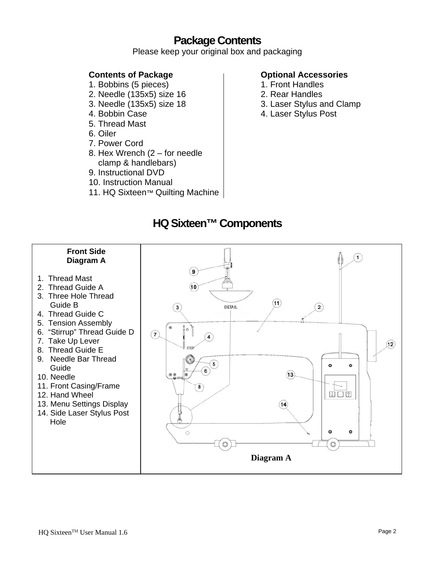# **Package Contents**

Please keep your original box and packaging

#### **Contents of Package**

- 1. Bobbins (5 pieces)
- 2. Needle (135x5) size 16
- 3. Needle (135x5) size 18
- 4. Bobbin Case
- 5. Thread Mast
- 6. Oiler
- 7. Power Cord
- 8. Hex Wrench (2 for needle clamp & handlebars)
- 9. Instructional DVD
- 10. Instruction Manual
- 11. HQ Sixteen™ Quilting Machine

#### **Optional Accessories**

- 1. Front Handles
- 2. Rear Handles
- 3. Laser Stylus and Clamp
- 4. Laser Stylus Post

# **HQ Sixteen™ Components**

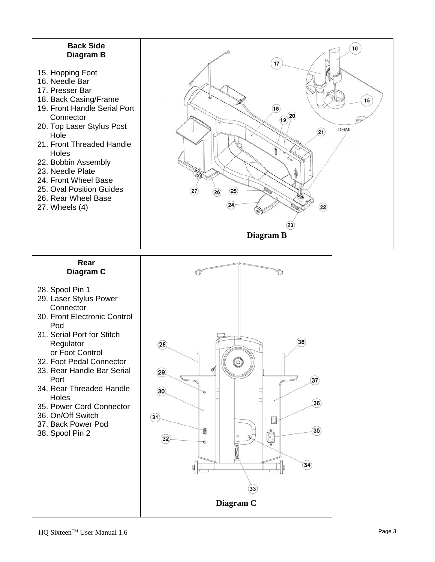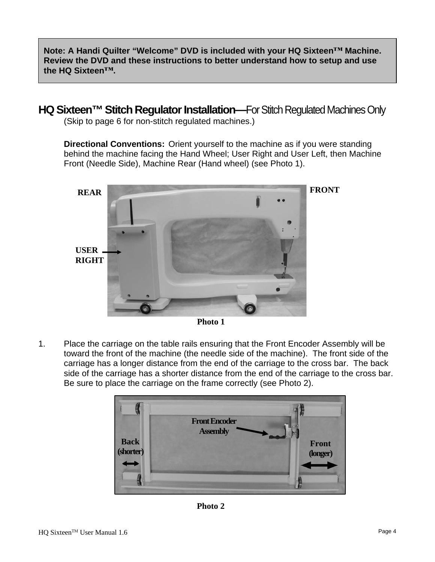**Note: A Handi Quilter "Welcome" DVD is included with your HQ Sixteen™ Machine. Review the DVD and these instructions to better understand how to setup and use the HQ Sixteen™.** 

**HQ Sixteen™ Stitch Regulator Installation—**For Stitch Regulated Machines Only (Skip to page 6 for non-stitch regulated machines.)

**Directional Conventions:** Orient yourself to the machine as if you were standing behind the machine facing the Hand Wheel; User Right and User Left, then Machine Front (Needle Side), Machine Rear (Hand wheel) (see Photo 1).



**Photo 1** 

1. Place the carriage on the table rails ensuring that the Front Encoder Assembly will be toward the front of the machine (the needle side of the machine). The front side of the carriage has a longer distance from the end of the carriage to the cross bar. The back side of the carriage has a shorter distance from the end of the carriage to the cross bar. Be sure to place the carriage on the frame correctly (see Photo 2).



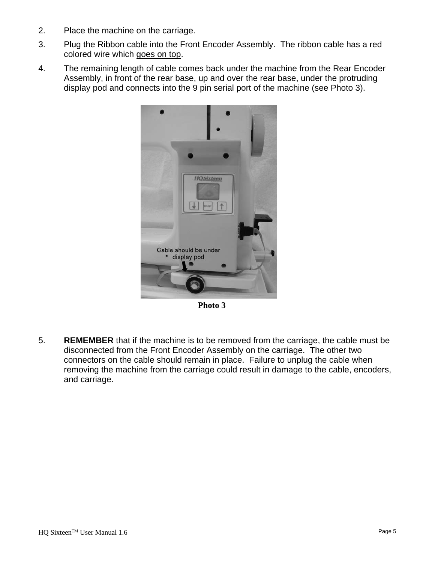- 2. Place the machine on the carriage.
- 3. Plug the Ribbon cable into the Front Encoder Assembly. The ribbon cable has a red colored wire which goes on top.
- 4. The remaining length of cable comes back under the machine from the Rear Encoder Assembly, in front of the rear base, up and over the rear base, under the protruding display pod and connects into the 9 pin serial port of the machine (see Photo 3).



**Photo 3** 

5. **REMEMBER** that if the machine is to be removed from the carriage, the cable must be disconnected from the Front Encoder Assembly on the carriage. The other two connectors on the cable should remain in place. Failure to unplug the cable when removing the machine from the carriage could result in damage to the cable, encoders, and carriage.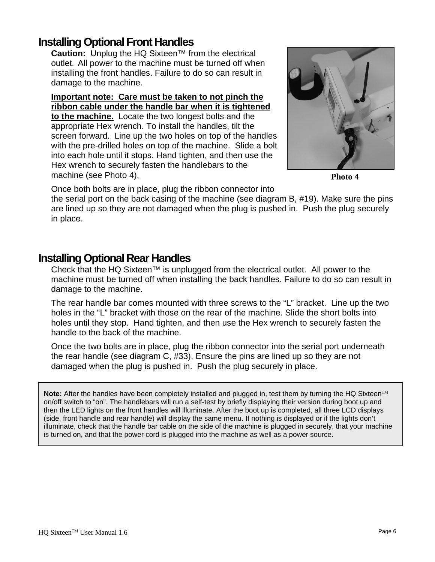### **Installing Optional Front Handles**

**Caution:** Unplug the HQ Sixteen™ from the electrical outlet. All power to the machine must be turned off when installing the front handles. Failure to do so can result in damage to the machine.

**Important note: Care must be taken to not pinch the ribbon cable under the handle bar when it is tightened to the machine.** Locate the two longest bolts and the appropriate Hex wrench. To install the handles, tilt the screen forward. Line up the two holes on top of the handles with the pre-drilled holes on top of the machine. Slide a bolt into each hole until it stops. Hand tighten, and then use the Hex wrench to securely fasten the handlebars to the machine (see Photo 4).



**Photo 4** 

Once both bolts are in place, plug the ribbon connector into

the serial port on the back casing of the machine (see diagram B, #19). Make sure the pins are lined up so they are not damaged when the plug is pushed in. Push the plug securely in place.

### **Installing Optional Rear Handles**

Check that the HQ Sixteen™ is unplugged from the electrical outlet. All power to the machine must be turned off when installing the back handles. Failure to do so can result in damage to the machine.

The rear handle bar comes mounted with three screws to the "L" bracket. Line up the two holes in the "L" bracket with those on the rear of the machine. Slide the short bolts into holes until they stop. Hand tighten, and then use the Hex wrench to securely fasten the handle to the back of the machine.

Once the two bolts are in place, plug the ribbon connector into the serial port underneath the rear handle (see diagram C, #33). Ensure the pins are lined up so they are not damaged when the plug is pushed in. Push the plug securely in place.

Note: After the handles have been completely installed and plugged in, test them by turning the HQ Sixteen<sup>™</sup> on/off switch to "on". The handlebars will run a self-test by briefly displaying their version during boot up and then the LED lights on the front handles will illuminate. After the boot up is completed, all three LCD displays (side, front handle and rear handle) will display the same menu. If nothing is displayed or if the lights don't illuminate, check that the handle bar cable on the side of the machine is plugged in securely, that your machine is turned on, and that the power cord is plugged into the machine as well as a power source.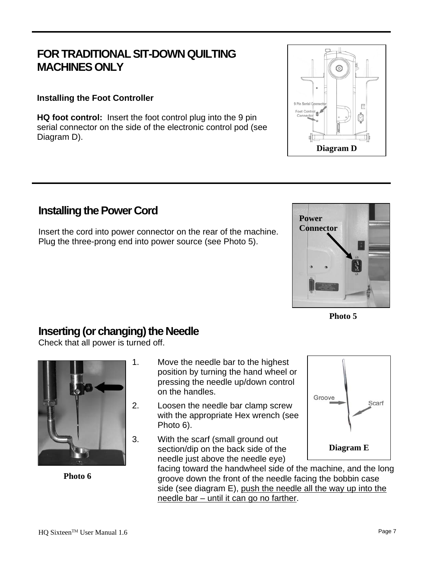# **FOR TRADITIONAL SIT-DOWN QUILTING MACHINES ONLY**

#### **Installing the Foot Controller**

**HQ foot control:** Insert the foot control plug into the 9 pin serial connector on the side of the electronic control pod (see Diagram D).

## **Installing the Power Cord**

Insert the cord into power connector on the rear of the machine. Plug the three-prong end into power source (see Photo 5).

## **Inserting (or changing) the Needle**

Check that all power is turned off.



**Photo 6** 

- 1. Move the needle bar to the highest position by turning the hand wheel or pressing the needle up/down control on the handles.
- 2. Loosen the needle bar clamp screw with the appropriate Hex wrench (see Photo 6).
- 3. With the scarf (small ground out section/dip on the back side of the needle just above the needle eye)









**Photo 5**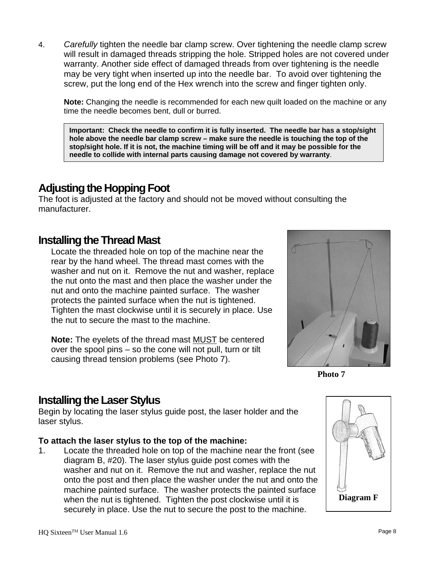4. *Carefully* tighten the needle bar clamp screw. Over tightening the needle clamp screw will result in damaged threads stripping the hole. Stripped holes are not covered under warranty. Another side effect of damaged threads from over tightening is the needle may be very tight when inserted up into the needle bar. To avoid over tightening the screw, put the long end of the Hex wrench into the screw and finger tighten only.

**Note:** Changing the needle is recommended for each new quilt loaded on the machine or any time the needle becomes bent, dull or burred.

**Important: Check the needle to confirm it is fully inserted. The needle bar has a stop/sight hole above the needle bar clamp screw – make sure the needle is touching the top of the stop/sight hole. If it is not, the machine timing will be off and it may be possible for the needle to collide with internal parts causing damage not covered by warranty**.

## **Adjusting the Hopping Foot**

The foot is adjusted at the factory and should not be moved without consulting the manufacturer.

### **Installing the Thread Mast**

Locate the threaded hole on top of the machine near the rear by the hand wheel. The thread mast comes with the washer and nut on it. Remove the nut and washer, replace the nut onto the mast and then place the washer under the nut and onto the machine painted surface. The washer protects the painted surface when the nut is tightened. Tighten the mast clockwise until it is securely in place. Use the nut to secure the mast to the machine.

**Note:** The eyelets of the thread mast MUST be centered over the spool pins – so the cone will not pull, turn or tilt causing thread tension problems (see Photo 7).



**Photo 7** 

### **Installing the Laser Stylus**

Begin by locating the laser stylus guide post, the laser holder and the laser stylus.

#### **To attach the laser stylus to the top of the machine:**

1. Locate the threaded hole on top of the machine near the front (see diagram B, #20). The laser stylus guide post comes with the washer and nut on it. Remove the nut and washer, replace the nut onto the post and then place the washer under the nut and onto the machine painted surface. The washer protects the painted surface when the nut is tightened. Tighten the post clockwise until it is securely in place. Use the nut to secure the post to the machine.

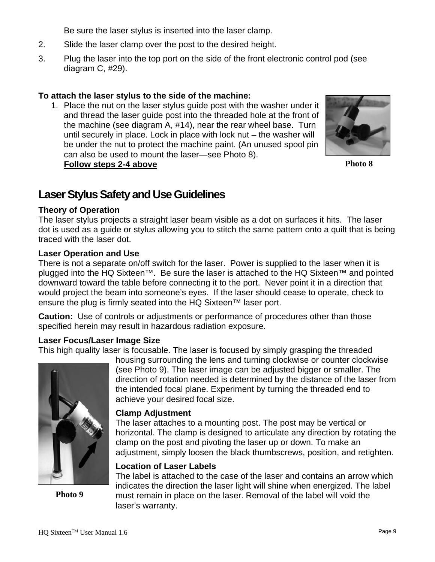Be sure the laser stylus is inserted into the laser clamp.

- 2. Slide the laser clamp over the post to the desired height.
- 3. Plug the laser into the top port on the side of the front electronic control pod (see diagram C, #29).

#### **To attach the laser stylus to the side of the machine:**

1. Place the nut on the laser stylus guide post with the washer under it and thread the laser guide post into the threaded hole at the front of the machine (see diagram A, #14), near the rear wheel base. Turn until securely in place. Lock in place with lock nut – the washer will be under the nut to protect the machine paint. (An unused spool pin can also be used to mount the laser—see Photo 8). **Follow steps 2-4 above**



**Photo 8** 

## **Laser Stylus Safety and Use Guidelines**

#### **Theory of Operation**

The laser stylus projects a straight laser beam visible as a dot on surfaces it hits. The laser dot is used as a guide or stylus allowing you to stitch the same pattern onto a quilt that is being traced with the laser dot.

#### **Laser Operation and Use**

There is not a separate on/off switch for the laser. Power is supplied to the laser when it is plugged into the HQ Sixteen™. Be sure the laser is attached to the HQ Sixteen™ and pointed downward toward the table before connecting it to the port. Never point it in a direction that would project the beam into someone's eyes. If the laser should cease to operate, check to ensure the plug is firmly seated into the HQ Sixteen™ laser port.

**Caution:** Use of controls or adjustments or performance of procedures other than those specified herein may result in hazardous radiation exposure.

#### **Laser Focus/Laser Image Size**

This high quality laser is focusable. The laser is focused by simply grasping the threaded



**Photo 9** 

housing surrounding the lens and turning clockwise or counter clockwise (see Photo 9). The laser image can be adjusted bigger or smaller. The direction of rotation needed is determined by the distance of the laser from the intended focal plane. Experiment by turning the threaded end to achieve your desired focal size.

#### **Clamp Adjustment**

The laser attaches to a mounting post. The post may be vertical or horizontal. The clamp is designed to articulate any direction by rotating the clamp on the post and pivoting the laser up or down. To make an adjustment, simply loosen the black thumbscrews, position, and retighten.

#### **Location of Laser Labels**

The label is attached to the case of the laser and contains an arrow which indicates the direction the laser light will shine when energized. The label must remain in place on the laser. Removal of the label will void the laser's warranty.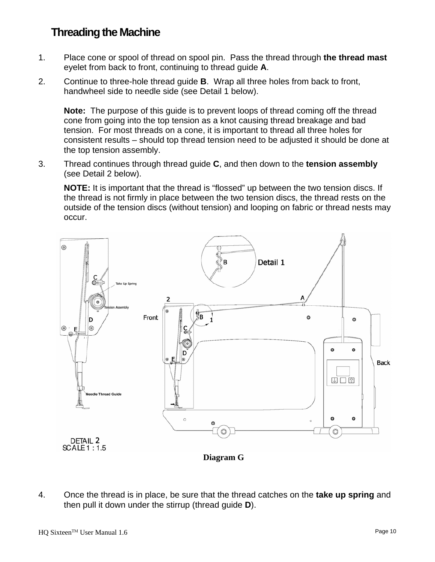# **Threading the Machine**

- 1. Place cone or spool of thread on spool pin. Pass the thread through **the thread mast** eyelet from back to front, continuing to thread guide **A**.
- 2. Continue to three-hole thread guide **B**. Wrap all three holes from back to front, handwheel side to needle side (see Detail 1 below).

**Note:** The purpose of this guide is to prevent loops of thread coming off the thread cone from going into the top tension as a knot causing thread breakage and bad tension. For most threads on a cone, it is important to thread all three holes for consistent results – should top thread tension need to be adjusted it should be done at the top tension assembly.

3. Thread continues through thread guide **C**, and then down to the **tension assembly** (see Detail 2 below).

**NOTE:** It is important that the thread is "flossed" up between the two tension discs. If the thread is not firmly in place between the two tension discs, the thread rests on the outside of the tension discs (without tension) and looping on fabric or thread nests may occur.



4. Once the thread is in place, be sure that the thread catches on the **take up spring** and then pull it down under the stirrup (thread guide **D**).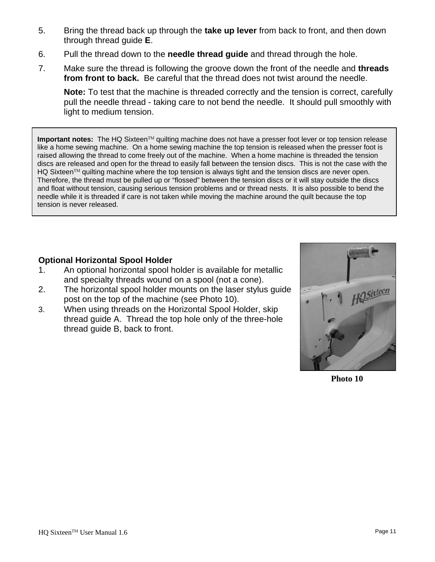- 5. Bring the thread back up through the **take up lever** from back to front, and then down through thread guide **E**.
- 6. Pull the thread down to the **needle thread guide** and thread through the hole.
- 7. Make sure the thread is following the groove down the front of the needle and **threads from front to back.** Be careful that the thread does not twist around the needle.

**Note:** To test that the machine is threaded correctly and the tension is correct, carefully pull the needle thread - taking care to not bend the needle. It should pull smoothly with light to medium tension.

**Important notes:** The HQ Sixteen™ quilting machine does not have a presser foot lever or top tension release like a home sewing machine. On a home sewing machine the top tension is released when the presser foot is raised allowing the thread to come freely out of the machine. When a home machine is threaded the tension discs are released and open for the thread to easily fall between the tension discs. This is not the case with the HQ Sixteen™ quilting machine where the top tension is always tight and the tension discs are never open. Therefore, the thread must be pulled up or "flossed" between the tension discs or it will stay outside the discs and float without tension, causing serious tension problems and or thread nests. It is also possible to bend the needle while it is threaded if care is not taken while moving the machine around the quilt because the top tension is never released.

#### **Optional Horizontal Spool Holder**

- 1. An optional horizontal spool holder is available for metallic and specialty threads wound on a spool (not a cone).
- 2. The horizontal spool holder mounts on the laser stylus guide post on the top of the machine (see Photo 10).
- 3. When using threads on the Horizontal Spool Holder, skip thread guide A. Thread the top hole only of the three-hole thread guide B, back to front.



**Photo 10**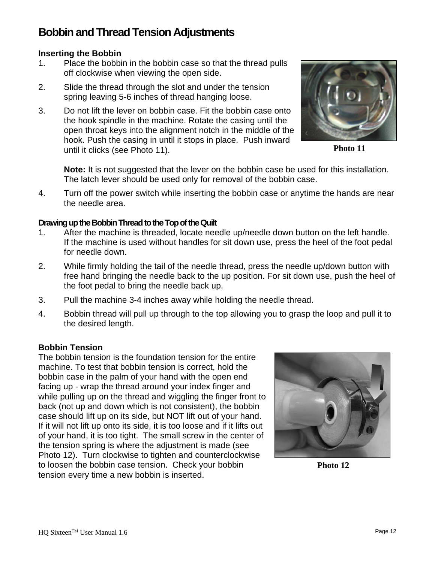# **Bobbin and Thread Tension Adjustments**

#### **Inserting the Bobbin**

- 1. Place the bobbin in the bobbin case so that the thread pulls off clockwise when viewing the open side.
- 2. Slide the thread through the slot and under the tension spring leaving 5-6 inches of thread hanging loose.
- 3. Do not lift the lever on bobbin case. Fit the bobbin case onto the hook spindle in the machine. Rotate the casing until the open throat keys into the alignment notch in the middle of the hook. Push the casing in until it stops in place. Push inward until it clicks (see Photo 11).



**Photo 11** 

**Note:** It is not suggested that the lever on the bobbin case be used for this installation. The latch lever should be used only for removal of the bobbin case.

4. Turn off the power switch while inserting the bobbin case or anytime the hands are near the needle area.

#### **Drawing up the Bobbin Thread to the Top of the Quilt**

- 1. After the machine is threaded, locate needle up/needle down button on the left handle. If the machine is used without handles for sit down use, press the heel of the foot pedal for needle down.
- 2. While firmly holding the tail of the needle thread, press the needle up/down button with free hand bringing the needle back to the up position. For sit down use, push the heel of the foot pedal to bring the needle back up.
- 3. Pull the machine 3-4 inches away while holding the needle thread.
- 4. Bobbin thread will pull up through to the top allowing you to grasp the loop and pull it to the desired length.

#### **Bobbin Tension**

The bobbin tension is the foundation tension for the entire machine. To test that bobbin tension is correct, hold the bobbin case in the palm of your hand with the open end facing up - wrap the thread around your index finger and while pulling up on the thread and wiggling the finger front to back (not up and down which is not consistent), the bobbin case should lift up on its side, but NOT lift out of your hand. If it will not lift up onto its side, it is too loose and if it lifts out of your hand, it is too tight. The small screw in the center of the tension spring is where the adjustment is made (see Photo 12). Turn clockwise to tighten and counterclockwise to loosen the bobbin case tension. Check your bobbin tension every time a new bobbin is inserted.



**Photo 12**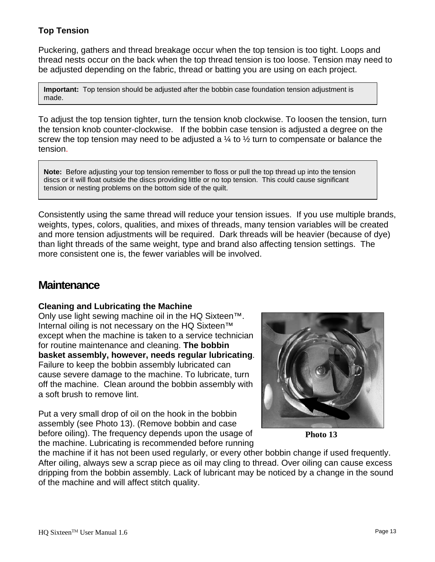#### **Top Tension**

Puckering, gathers and thread breakage occur when the top tension is too tight. Loops and thread nests occur on the back when the top thread tension is too loose. Tension may need to be adjusted depending on the fabric, thread or batting you are using on each project.

**Important:** Top tension should be adjusted after the bobbin case foundation tension adjustment is made.

To adjust the top tension tighter, turn the tension knob clockwise. To loosen the tension, turn the tension knob counter-clockwise. If the bobbin case tension is adjusted a degree on the screw the top tension may need to be adjusted a  $\frac{1}{4}$  to  $\frac{1}{2}$  turn to compensate or balance the tension.

**Note:** Before adjusting your top tension remember to floss or pull the top thread up into the tension discs or it will float outside the discs providing little or no top tension. This could cause significant tension or nesting problems on the bottom side of the quilt.

Consistently using the same thread will reduce your tension issues. If you use multiple brands, weights, types, colors, qualities, and mixes of threads, many tension variables will be created and more tension adjustments will be required. Dark threads will be heavier (because of dye) than light threads of the same weight, type and brand also affecting tension settings. The more consistent one is, the fewer variables will be involved.

### **Maintenance**

#### **Cleaning and Lubricating the Machine**

Only use light sewing machine oil in the HQ Sixteen™. Internal oiling is not necessary on the HQ Sixteen™ except when the machine is taken to a service technician for routine maintenance and cleaning. **The bobbin basket assembly, however, needs regular lubricating**. Failure to keep the bobbin assembly lubricated can cause severe damage to the machine. To lubricate, turn off the machine. Clean around the bobbin assembly with a soft brush to remove lint.

Put a very small drop of oil on the hook in the bobbin assembly (see Photo 13). (Remove bobbin and case before oiling). The frequency depends upon the usage of the machine. Lubricating is recommended before running



**Photo 13** 

the machine if it has not been used regularly, or every other bobbin change if used frequently. After oiling, always sew a scrap piece as oil may cling to thread. Over oiling can cause excess dripping from the bobbin assembly. Lack of lubricant may be noticed by a change in the sound of the machine and will affect stitch quality.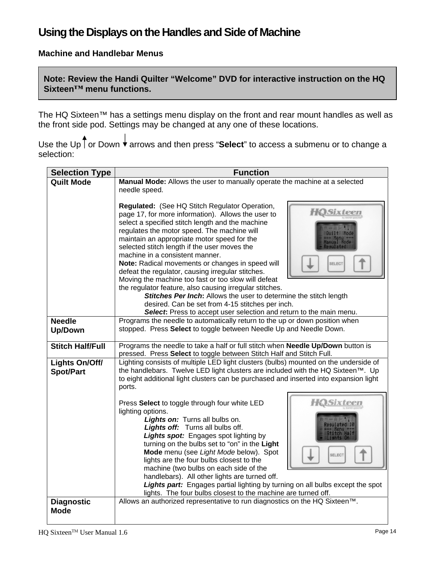# **Using the Displays on the Handles and Side of Machine**

#### **Machine and Handlebar Menus**

**Note: Review the Handi Quilter "Welcome" DVD for interactive instruction on the HQ Sixteen™ menu functions.** 

The HQ Sixteen™ has a settings menu display on the front and rear mount handles as well as the front side pod. Settings may be changed at any one of these locations.

Use the Up | or Down **↓** arrows and then press "**Select**" to access a submenu or to change a selection:

| <b>Selection Type</b>              | <b>Function</b>                                                                                                                                                                                                                                                                                                                                                                                                                                                                                                                                                                                                          |
|------------------------------------|--------------------------------------------------------------------------------------------------------------------------------------------------------------------------------------------------------------------------------------------------------------------------------------------------------------------------------------------------------------------------------------------------------------------------------------------------------------------------------------------------------------------------------------------------------------------------------------------------------------------------|
| <b>Quilt Mode</b>                  | Manual Mode: Allows the user to manually operate the machine at a selected                                                                                                                                                                                                                                                                                                                                                                                                                                                                                                                                               |
|                                    | needle speed.                                                                                                                                                                                                                                                                                                                                                                                                                                                                                                                                                                                                            |
|                                    | Regulated: (See HQ Stitch Regulator Operation,<br><b>HOSixteen</b><br>page 17, for more information). Allows the user to<br>select a specified stitch length and the machine<br>regulates the motor speed. The machine will<br>maintain an appropriate motor speed for the<br>selected stitch length if the user moves the<br>machine in a consistent manner.                                                                                                                                                                                                                                                            |
|                                    | Note: Radical movements or changes in speed will<br><b>SELECT</b><br>defeat the regulator, causing irregular stitches.                                                                                                                                                                                                                                                                                                                                                                                                                                                                                                   |
|                                    | Moving the machine too fast or too slow will defeat<br>the regulator feature, also causing irregular stitches.<br>Stitches Per Inch: Allows the user to determine the stitch length<br>desired. Can be set from 4-15 stitches per inch.<br>Select: Press to accept user selection and return to the main menu.                                                                                                                                                                                                                                                                                                           |
| <b>Needle</b><br><b>Up/Down</b>    | Programs the needle to automatically return to the up or down position when<br>stopped. Press Select to toggle between Needle Up and Needle Down.                                                                                                                                                                                                                                                                                                                                                                                                                                                                        |
| <b>Stitch Half/Full</b>            | Programs the needle to take a half or full stitch when Needle Up/Down button is<br>pressed. Press Select to toggle between Stitch Half and Stitch Full.                                                                                                                                                                                                                                                                                                                                                                                                                                                                  |
| Lights On/Off/<br><b>Spot/Part</b> | Lighting consists of multiple LED light clusters (bulbs) mounted on the underside of<br>the handlebars. Twelve LED light clusters are included with the HQ Sixteen™. Up<br>to eight additional light clusters can be purchased and inserted into expansion light<br>ports.                                                                                                                                                                                                                                                                                                                                               |
|                                    | <b>HOSixteen</b><br>Press Select to toggle through four white LED<br>lighting options.<br>Lights on: Turns all bulbs on.<br>Lights off: Turns all bulbs off.<br><b>Lights spot:</b> Engages spot lighting by<br>turning on the bulbs set to "on" in the Light<br>Mode menu (see Light Mode below). Spot<br><b>SELECT</b><br>lights are the four bulbs closest to the<br>machine (two bulbs on each side of the<br>handlebars). All other lights are turned off.<br><b>Lights part:</b> Engages partial lighting by turning on all bulbs except the spot<br>lights. The four bulbs closest to the machine are turned off. |
| <b>Diagnostic</b><br><b>Mode</b>   | Allows an authorized representative to run diagnostics on the HQ Sixteen™.                                                                                                                                                                                                                                                                                                                                                                                                                                                                                                                                               |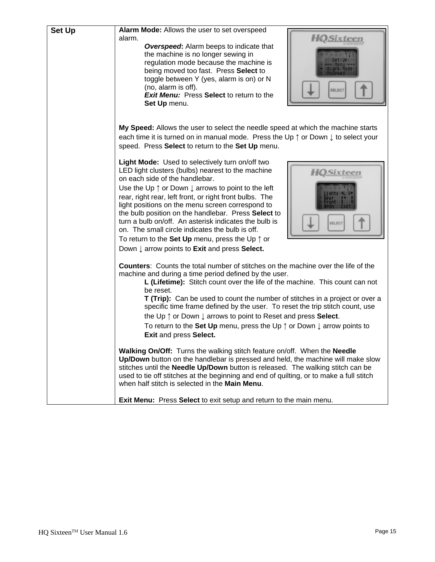| <b>Set Up</b> | Alarm Mode: Allows the user to set overspeed<br><b>HOSixteen</b><br>alarm.<br><b>Overspeed:</b> Alarm beeps to indicate that<br>the machine is no longer sewing in<br>regulation mode because the machine is<br>being moved too fast. Press Select to<br>toggle between Y (yes, alarm is on) or N<br>(no, alarm is off).<br><b>SELECT</b><br><b>Exit Menu:</b> Press Select to return to the<br>Set Up menu.                                                                                                                                                                                                                                         |
|---------------|------------------------------------------------------------------------------------------------------------------------------------------------------------------------------------------------------------------------------------------------------------------------------------------------------------------------------------------------------------------------------------------------------------------------------------------------------------------------------------------------------------------------------------------------------------------------------------------------------------------------------------------------------|
|               | My Speed: Allows the user to select the needle speed at which the machine starts<br>each time it is turned on in manual mode. Press the Up $\uparrow$ or Down $\downarrow$ to select your<br>speed. Press Select to return to the Set Up menu.                                                                                                                                                                                                                                                                                                                                                                                                       |
|               | Light Mode: Used to selectively turn on/off two<br>LED light clusters (bulbs) nearest to the machine<br><b>HOSixteen</b><br>on each side of the handlebar.<br>Use the Up $\uparrow$ or Down $\downarrow$ arrows to point to the left<br>rear, right rear, left front, or right front bulbs. The<br>light positions on the menu screen correspond to<br>the bulb position on the handlebar. Press Select to<br>turn a bulb on/off. An asterisk indicates the bulb is<br><b>SELECT</b><br>on. The small circle indicates the bulb is off.<br>To return to the Set Up menu, press the Up $\uparrow$ or<br>Down ↓ arrow points to Exit and press Select. |
|               | <b>Counters:</b> Counts the total number of stitches on the machine over the life of the<br>machine and during a time period defined by the user.<br>L (Lifetime): Stitch count over the life of the machine. This count can not<br>be reset.<br>T (Trip): Can be used to count the number of stitches in a project or over a<br>specific time frame defined by the user. To reset the trip stitch count, use<br>the Up $\uparrow$ or Down $\downarrow$ arrows to point to Reset and press <b>Select</b> .<br>To return to the Set Up menu, press the Up $\uparrow$ or Down $\downarrow$ arrow points to<br>Exit and press Select.                   |
|               | Walking On/Off: Turns the walking stitch feature on/off. When the Needle<br>Up/Down button on the handlebar is pressed and held, the machine will make slow<br>stitches until the <b>Needle Up/Down</b> button is released. The walking stitch can be<br>used to tie off stitches at the beginning and end of quilting, or to make a full stitch<br>when half stitch is selected in the Main Menu.                                                                                                                                                                                                                                                   |
|               | Exit Menu: Press Select to exit setup and return to the main menu.                                                                                                                                                                                                                                                                                                                                                                                                                                                                                                                                                                                   |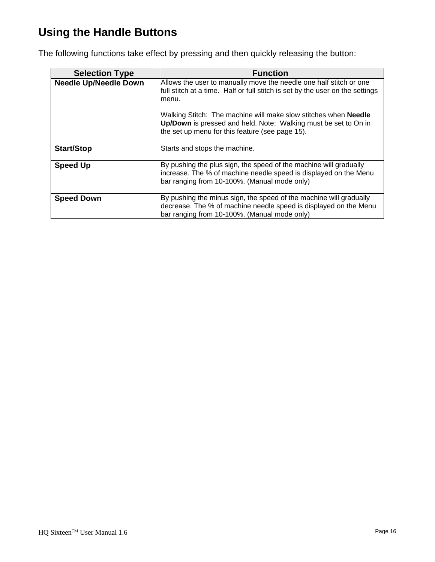# **Using the Handle Buttons**

The following functions take effect by pressing and then quickly releasing the button:

| <b>Selection Type</b>        | <b>Function</b>                                                                                                                                                                                                                                                                                                                                              |
|------------------------------|--------------------------------------------------------------------------------------------------------------------------------------------------------------------------------------------------------------------------------------------------------------------------------------------------------------------------------------------------------------|
| <b>Needle Up/Needle Down</b> | Allows the user to manually move the needle one half stitch or one<br>full stitch at a time. Half or full stitch is set by the user on the settings<br>menu.<br>Walking Stitch: The machine will make slow stitches when <b>Needle</b><br>Up/Down is pressed and held. Note: Walking must be set to On in<br>the set up menu for this feature (see page 15). |
| <b>Start/Stop</b>            | Starts and stops the machine.                                                                                                                                                                                                                                                                                                                                |
| <b>Speed Up</b>              | By pushing the plus sign, the speed of the machine will gradually<br>increase. The % of machine needle speed is displayed on the Menu<br>bar ranging from 10-100%. (Manual mode only)                                                                                                                                                                        |
| <b>Speed Down</b>            | By pushing the minus sign, the speed of the machine will gradually<br>decrease. The % of machine needle speed is displayed on the Menu<br>bar ranging from 10-100%. (Manual mode only)                                                                                                                                                                       |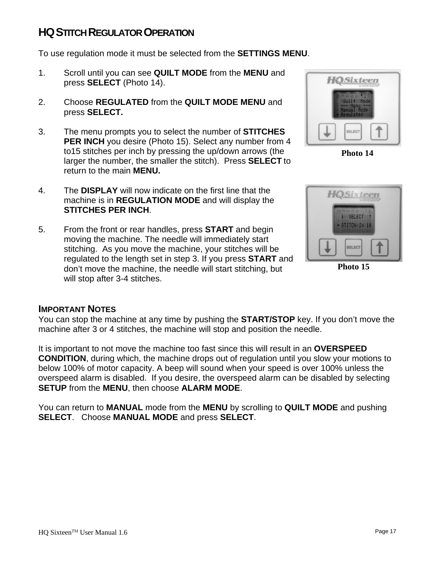# **HQSTITCH REGULATOR OPERATION**

To use regulation mode it must be selected from the **SETTINGS MENU**.

- 1. Scroll until you can see **QUILT MODE** from the **MENU** and press **SELECT** (Photo 14).
- 2. Choose **REGULATED** from the **QUILT MODE MENU** and press **SELECT.**
- 3. The menu prompts you to select the number of **STITCHES PER INCH** you desire (Photo 15). Select any number from 4 to15 stitches per inch by pressing the up/down arrows (the larger the number, the smaller the stitch). Press **SELECT** to return to the main **MENU.**
- 4. The **DISPLAY** will now indicate on the first line that the machine is in **REGULATION MODE** and will display the **STITCHES PER INCH**.
- 5. From the front or rear handles, press **START** and begin moving the machine. The needle will immediately start stitching. As you move the machine, your stitches will be regulated to the length set in step 3. If you press **START** and don't move the machine, the needle will start stitching, but will stop after 3-4 stitches.



**Photo 14** 



**Photo 15** 

#### **IMPORTANT NOTES**

You can stop the machine at any time by pushing the **START/STOP** key. If you don't move the machine after 3 or 4 stitches, the machine will stop and position the needle.

It is important to not move the machine too fast since this will result in an **OVERSPEED CONDITION**, during which, the machine drops out of regulation until you slow your motions to below 100% of motor capacity. A beep will sound when your speed is over 100% unless the overspeed alarm is disabled. If you desire, the overspeed alarm can be disabled by selecting **SETUP** from the **MENU**, then choose **ALARM MODE**.

You can return to **MANUAL** mode from the **MENU** by scrolling to **QUILT MODE** and pushing **SELECT**. Choose **MANUAL MODE** and press **SELECT**.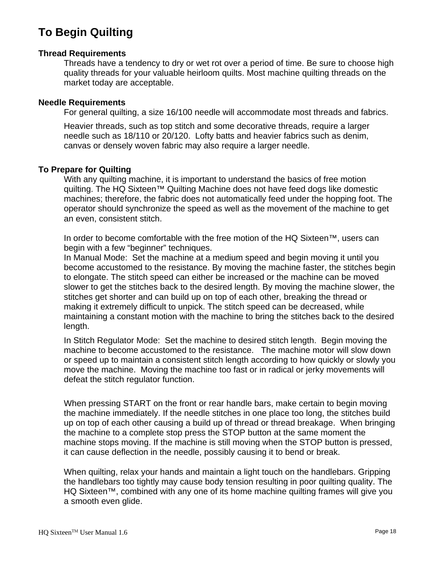# **To Begin Quilting**

#### **Thread Requirements**

Threads have a tendency to dry or wet rot over a period of time. Be sure to choose high quality threads for your valuable heirloom quilts. Most machine quilting threads on the market today are acceptable.

#### **Needle Requirements**

For general quilting, a size 16/100 needle will accommodate most threads and fabrics.

Heavier threads, such as top stitch and some decorative threads, require a larger needle such as 18/110 or 20/120. Lofty batts and heavier fabrics such as denim, canvas or densely woven fabric may also require a larger needle.

#### **To Prepare for Quilting**

With any quilting machine, it is important to understand the basics of free motion quilting. The HQ Sixteen™ Quilting Machine does not have feed dogs like domestic machines; therefore, the fabric does not automatically feed under the hopping foot. The operator should synchronize the speed as well as the movement of the machine to get an even, consistent stitch.

In order to become comfortable with the free motion of the HQ Sixteen™, users can begin with a few "beginner" techniques.

In Manual Mode: Set the machine at a medium speed and begin moving it until you become accustomed to the resistance. By moving the machine faster, the stitches begin to elongate. The stitch speed can either be increased or the machine can be moved slower to get the stitches back to the desired length. By moving the machine slower, the stitches get shorter and can build up on top of each other, breaking the thread or making it extremely difficult to unpick. The stitch speed can be decreased, while maintaining a constant motion with the machine to bring the stitches back to the desired length.

In Stitch Regulator Mode: Set the machine to desired stitch length. Begin moving the machine to become accustomed to the resistance. The machine motor will slow down or speed up to maintain a consistent stitch length according to how quickly or slowly you move the machine. Moving the machine too fast or in radical or jerky movements will defeat the stitch regulator function.

When pressing START on the front or rear handle bars, make certain to begin moving the machine immediately. If the needle stitches in one place too long, the stitches build up on top of each other causing a build up of thread or thread breakage. When bringing the machine to a complete stop press the STOP button at the same moment the machine stops moving. If the machine is still moving when the STOP button is pressed, it can cause deflection in the needle, possibly causing it to bend or break.

When quilting, relax your hands and maintain a light touch on the handlebars. Gripping the handlebars too tightly may cause body tension resulting in poor quilting quality. The HQ Sixteen™, combined with any one of its home machine quilting frames will give you a smooth even glide.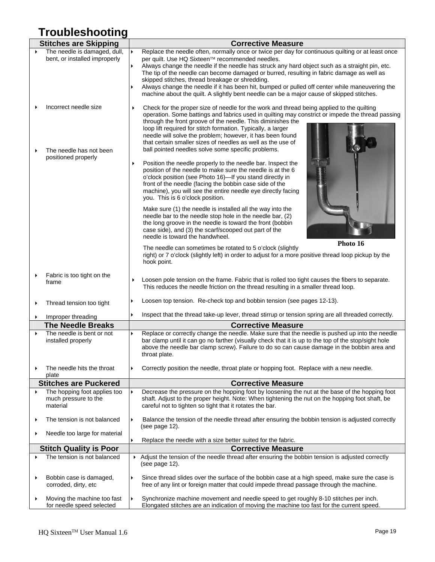# **Troubleshooting**

|   | <b>Stitches are Skipping</b>                                     | <b>Corrective Measure</b>                                                                                                                                                                                                                                                                                                                                                                                                                                                                                                                                                                                                                                                            |  |
|---|------------------------------------------------------------------|--------------------------------------------------------------------------------------------------------------------------------------------------------------------------------------------------------------------------------------------------------------------------------------------------------------------------------------------------------------------------------------------------------------------------------------------------------------------------------------------------------------------------------------------------------------------------------------------------------------------------------------------------------------------------------------|--|
|   | The needle is damaged, dull,<br>bent, or installed improperly    | Replace the needle often, normally once or twice per day for continuous quilting or at least once<br>$\blacktriangleright$<br>per quilt. Use HQ Sixteen™ recommended needles.<br>Always change the needle if the needle has struck any hard object such as a straight pin, etc.<br>The tip of the needle can become damaged or burred, resulting in fabric damage as well as<br>skipped stitches, thread breakage or shredding.<br>Always change the needle if it has been hit, bumped or pulled off center while maneuvering the<br>machine about the quilt. A slightly bent needle can be a major cause of skipped stitches.                                                       |  |
|   | Incorrect needle size                                            | Check for the proper size of needle for the work and thread being applied to the quilting<br>▶<br>operation. Some battings and fabrics used in quilting may constrict or impede the thread passing<br>through the front groove of the needle. This diminishes the<br>loop lift required for stitch formation. Typically, a larger<br>needle will solve the problem; however, it has been found<br>that certain smaller sizes of needles as well as the use of                                                                                                                                                                                                                        |  |
|   | The needle has not been<br>positioned properly                   | ball pointed needles solve some specific problems.<br>Position the needle properly to the needle bar. Inspect the<br>$\blacktriangleright$<br>position of the needle to make sure the needle is at the 6<br>o'clock position (see Photo 16)-If you stand directly in<br>front of the needle (facing the bobbin case side of the<br>machine), you will see the entire needle eye directly facing<br>you. This is 6 o'clock position.<br>Make sure (1) the needle is installed all the way into the<br>needle bar to the needle stop hole in the needle bar, (2)<br>the long groove in the needle is toward the front (bobbin<br>case side), and (3) the scarf/scooped out part of the |  |
|   |                                                                  | needle is toward the handwheel.<br>Photo 16<br>The needle can sometimes be rotated to 5 o'clock (slightly<br>right) or 7 o'clock (slightly left) in order to adjust for a more positive thread loop pickup by the<br>hook point.                                                                                                                                                                                                                                                                                                                                                                                                                                                     |  |
|   | Fabric is too tight on the<br>frame                              | Loosen pole tension on the frame. Fabric that is rolled too tight causes the fibers to separate.<br>▶<br>This reduces the needle friction on the thread resulting in a smaller thread loop.                                                                                                                                                                                                                                                                                                                                                                                                                                                                                          |  |
|   | Thread tension too tight                                         | Loosen top tension. Re-check top and bobbin tension (see pages 12-13).                                                                                                                                                                                                                                                                                                                                                                                                                                                                                                                                                                                                               |  |
|   | Improper threading                                               | Inspect that the thread take-up lever, thread stirrup or tension spring are all threaded correctly.                                                                                                                                                                                                                                                                                                                                                                                                                                                                                                                                                                                  |  |
|   | <b>The Needle Breaks</b>                                         | <b>Corrective Measure</b>                                                                                                                                                                                                                                                                                                                                                                                                                                                                                                                                                                                                                                                            |  |
|   | The needle is bent or not<br>installed properly                  | Replace or correctly change the needle. Make sure that the needle is pushed up into the needle<br>bar clamp until it can go no farther (visually check that it is up to the top of the stop/sight hole<br>above the needle bar clamp screw). Failure to do so can cause damage in the bobbin area and<br>throat plate.                                                                                                                                                                                                                                                                                                                                                               |  |
|   | The needle hits the throat<br>plate                              | Correctly position the needle, throat plate or hopping foot. Replace with a new needle.                                                                                                                                                                                                                                                                                                                                                                                                                                                                                                                                                                                              |  |
|   | <b>Stitches are Puckered</b>                                     | <b>Corrective Measure</b>                                                                                                                                                                                                                                                                                                                                                                                                                                                                                                                                                                                                                                                            |  |
| ▶ | The hopping foot applies too<br>much pressure to the<br>material | Decrease the pressure on the hopping foot by loosening the nut at the base of the hopping foot<br>shaft. Adjust to the proper height. Note: When tightening the nut on the hopping foot shaft, be<br>careful not to tighten so tight that it rotates the bar.                                                                                                                                                                                                                                                                                                                                                                                                                        |  |
|   | The tension is not balanced                                      | Balance the tension of the needle thread after ensuring the bobbin tension is adjusted correctly<br>▶<br>(see page 12).                                                                                                                                                                                                                                                                                                                                                                                                                                                                                                                                                              |  |
|   | Needle too large for material                                    | Replace the needle with a size better suited for the fabric.                                                                                                                                                                                                                                                                                                                                                                                                                                                                                                                                                                                                                         |  |
|   | <b>Stitch Quality is Poor</b>                                    | <b>Corrective Measure</b>                                                                                                                                                                                                                                                                                                                                                                                                                                                                                                                                                                                                                                                            |  |
|   | The tension is not balanced                                      | Adjust the tension of the needle thread after ensuring the bobbin tension is adjusted correctly<br>(see page 12).                                                                                                                                                                                                                                                                                                                                                                                                                                                                                                                                                                    |  |
|   | Bobbin case is damaged,<br>corroded, dirty, etc                  | Since thread slides over the surface of the bobbin case at a high speed, make sure the case is<br>free of any lint or foreign matter that could impede thread passage through the machine.                                                                                                                                                                                                                                                                                                                                                                                                                                                                                           |  |
|   | Moving the machine too fast<br>for needle speed selected         | Synchronize machine movement and needle speed to get roughly 8-10 stitches per inch.<br>$\blacktriangleright$<br>Elongated stitches are an indication of moving the machine too fast for the current speed.                                                                                                                                                                                                                                                                                                                                                                                                                                                                          |  |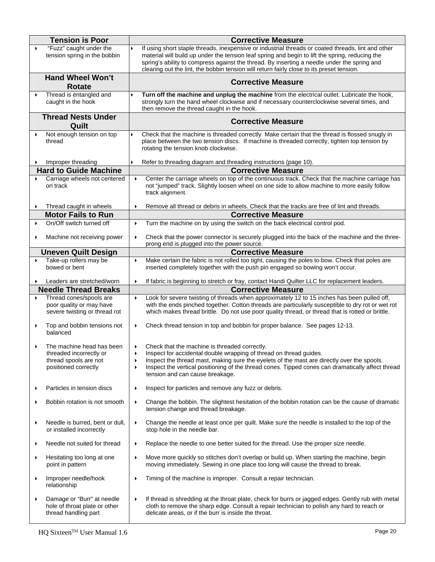| <b>Tension is Poor</b>                                                                                | <b>Corrective Measure</b>                                                                                                                                                                                                                                                                                                                                                                         |
|-------------------------------------------------------------------------------------------------------|---------------------------------------------------------------------------------------------------------------------------------------------------------------------------------------------------------------------------------------------------------------------------------------------------------------------------------------------------------------------------------------------------|
| "Fuzz" caught under the<br>$\blacktriangleright$<br>tension spring in the bobbin                      | If using short staple threads, inexpensive or industrial threads or coated threads, lint and other<br>material will build up under the tension leaf spring and begin to lift the spring, reducing the<br>spring's ability to compress against the thread. By inserting a needle under the spring and<br>clearing out the lint, the bobbin tension will return fairly close to its preset tension. |
| <b>Hand Wheel Won't</b><br><b>Rotate</b>                                                              | <b>Corrective Measure</b>                                                                                                                                                                                                                                                                                                                                                                         |
| Thread is entangled and<br>▶<br>caught in the hook                                                    | Turn off the machine and unplug the machine from the electrical outlet. Lubricate the hook,<br>strongly turn the hand wheel clockwise and if necessary counterclockwise several times, and<br>then remove the thread caught in the hook.                                                                                                                                                          |
| <b>Thread Nests Under</b><br>Quilt                                                                    | <b>Corrective Measure</b>                                                                                                                                                                                                                                                                                                                                                                         |
| Not enough tension on top<br>thread                                                                   | Check that the machine is threaded correctly. Make certain that the thread is flossed snugly in<br>place between the two tension discs. If machine is threaded correctly, tighten top tension by<br>rotating the tension knob clockwise.                                                                                                                                                          |
| Improper threading                                                                                    | Refer to threading diagram and threading instructions (page 10).                                                                                                                                                                                                                                                                                                                                  |
| <b>Hard to Guide Machine</b>                                                                          | <b>Corrective Measure</b>                                                                                                                                                                                                                                                                                                                                                                         |
| Carriage wheels not centered<br>on track                                                              | Center the carriage wheels on top of the continuous track. Check that the machine carriage has<br>$\blacktriangleright$<br>not "jumped" track. Slightly loosen wheel on one side to allow machine to more easily follow<br>track alignment.                                                                                                                                                       |
| Thread caught in wheels<br>$\blacktriangleright$                                                      | Remove all thread or debris in wheels. Check that the tracks are free of lint and threads.                                                                                                                                                                                                                                                                                                        |
| <b>Motor Fails to Run</b><br>On/Off switch turned off                                                 | <b>Corrective Measure</b><br>Turn the machine on by using the switch on the back electrical control pod.<br>$\blacktriangleright$                                                                                                                                                                                                                                                                 |
| Machine not receiving power<br>▶                                                                      | Check that the power connector is securely plugged into the back of the machine and the three-<br>▶                                                                                                                                                                                                                                                                                               |
|                                                                                                       | prong end is plugged into the power source.                                                                                                                                                                                                                                                                                                                                                       |
| <b>Uneven Quilt Design</b>                                                                            | <b>Corrective Measure</b>                                                                                                                                                                                                                                                                                                                                                                         |
| Take-up rollers may be<br>$\blacktriangleright$<br>bowed or bent                                      | Make certain the fabric is not rolled too tight, causing the poles to bow. Check that poles are<br>▶<br>inserted completely together with the push pin engaged so bowing won't occur.                                                                                                                                                                                                             |
| Leaders are stretched/worn                                                                            | If fabric is beginning to stretch or fray, contact Handi Quilter LLC for replacement leaders.<br>$\blacktriangleright$                                                                                                                                                                                                                                                                            |
| <b>Needle Thread Breaks</b>                                                                           | <b>Corrective Measure</b>                                                                                                                                                                                                                                                                                                                                                                         |
| Thread cones/spools are<br>poor quality or may have<br>severe twisting or thread rot                  | Look for severe twisting of threads when approximately 12 to 15 inches has been pulled off,<br>$\blacktriangleright$<br>with the ends pinched together. Cotton threads are particularly susceptible to dry rot or wet rot<br>which makes thread brittle. Do not use poor quality thread, or thread that is rotted or brittle.                                                                     |
| Top and bobbin tensions not<br>$\blacktriangleright$<br>balanced                                      | Check thread tension in top and bobbin for proper balance. See pages 12-13.<br>▶                                                                                                                                                                                                                                                                                                                  |
| The machine head has been<br>threaded incorrectly or<br>thread spools are not<br>positioned correctly | Check that the machine is threaded correctly.<br>▶<br>Inspect for accidental double wrapping of thread on thread guides.<br>Inspect the thread mast, making sure the eyelets of the mast are directly over the spools.<br>$\blacktriangleright$<br>Inspect the vertical positioning of the thread cones. Tipped cones can dramatically affect thread<br>▶<br>tension and can cause breakage.      |
| Particles in tension discs<br>▸                                                                       | Inspect for particles and remove any fuzz or debris.<br>▶                                                                                                                                                                                                                                                                                                                                         |
| Bobbin rotation is not smooth<br>٠                                                                    | Change the bobbin. The slightest hesitation of the bobbin rotation can be the cause of dramatic<br>$\blacktriangleright$<br>tension change and thread breakage.                                                                                                                                                                                                                                   |
| Needle is burred, bent or dull,<br>▸<br>or installed incorrectly                                      | Change the needle at least once per quilt. Make sure the needle is installed to the top of the<br>$\blacktriangleright$<br>stop hole in the needle bar.                                                                                                                                                                                                                                           |
| Needle not suited for thread<br>▸                                                                     | Replace the needle to one better suited for the thread. Use the proper size needle.<br>▶                                                                                                                                                                                                                                                                                                          |
| Hesitating too long at one<br>$\blacktriangleright$<br>point in pattern                               | Move more quickly so stitches don't overlap or build up. When starting the machine, begin<br>▶<br>moving immediately. Sewing in one place too long will cause the thread to break.                                                                                                                                                                                                                |
| Improper needle/hook<br>$\blacktriangleright$<br>relationship                                         | Timing of the machine is improper. Consult a repair technician.<br>▶                                                                                                                                                                                                                                                                                                                              |
| Damage or "Burr" at needle<br>▸<br>hole of throat plate or other<br>thread handling part              | If thread is shredding at the throat plate, check for burrs or jagged edges. Gently rub with metal<br>$\blacktriangleright$<br>cloth to remove the sharp edge. Consult a repair technician to polish any hard to reach or<br>delicate areas, or if the burr is inside the throat.                                                                                                                 |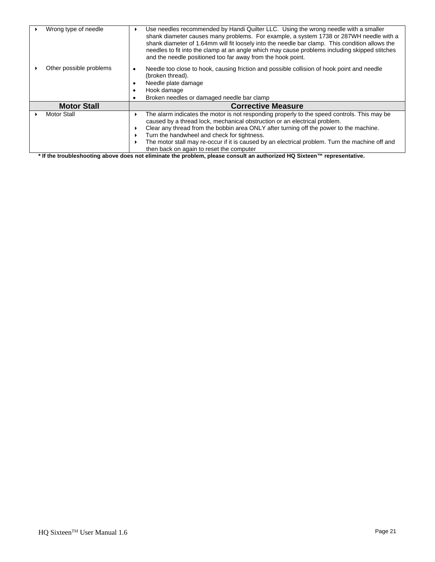| Wrong type of needle    | Use needles recommended by Handi Quilter LLC. Using the wrong needle with a smaller<br>shank diameter causes many problems. For example, a system 1738 or 287WH needle with a<br>shank diameter of 1.64mm will fit loosely into the needle bar clamp. This condition allows the<br>needles to fit into the clamp at an angle which may cause problems including skipped stitches<br>and the needle positioned too far away from the hook point.                                                                                                                                                                                                                                                                                                                                 |
|-------------------------|---------------------------------------------------------------------------------------------------------------------------------------------------------------------------------------------------------------------------------------------------------------------------------------------------------------------------------------------------------------------------------------------------------------------------------------------------------------------------------------------------------------------------------------------------------------------------------------------------------------------------------------------------------------------------------------------------------------------------------------------------------------------------------|
| Other possible problems | Needle too close to hook, causing friction and possible collision of hook point and needle<br>(broken thread).<br>Needle plate damage<br>Hook damage<br>Broken needles or damaged needle bar clamp                                                                                                                                                                                                                                                                                                                                                                                                                                                                                                                                                                              |
| <b>Motor Stall</b>      | <b>Corrective Measure</b>                                                                                                                                                                                                                                                                                                                                                                                                                                                                                                                                                                                                                                                                                                                                                       |
| <b>Motor Stall</b>      | The alarm indicates the motor is not responding properly to the speed controls. This may be<br>caused by a thread lock, mechanical obstruction or an electrical problem.<br>Clear any thread from the bobbin area ONLY after turning off the power to the machine.<br>Turn the handwheel and check for tightness.<br>The motor stall may re-occur if it is caused by an electrical problem. Turn the machine off and<br>then back on again to reset the computer<br>$\mathbf{u}$ , $\mathbf{u}$ , $\mathbf{u}$ , $\mathbf{u}$ , $\mathbf{u}$ , $\mathbf{u}$ , $\mathbf{u}$ , $\mathbf{u}$ , $\mathbf{u}$ , $\mathbf{u}$ , $\mathbf{u}$ , $\mathbf{u}$ , $\mathbf{u}$ , $\mathbf{u}$ , $\mathbf{u}$ , $\mathbf{u}$ , $\mathbf{u}$ , $\mathbf{u}$ , $\mathbf{u}$ , $\mathbf{u}$ , |

**\* If the troubleshooting above does not eliminate the problem, please consult an authorized HQ Sixteen™ representative.**